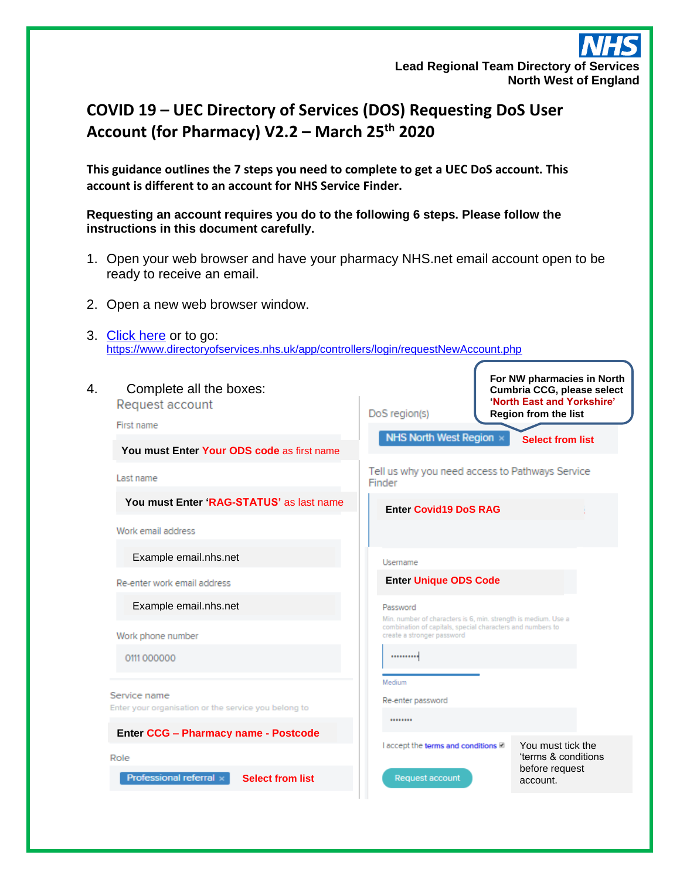## **Lead Regional Team Directory of Services North West of England**

## **COVID 19 – UEC Directory of Services (DOS) Requesting DoS User Account (for Pharmacy) V2.2 – March 25th 2020**

**This guidance outlines the 7 steps you need to complete to get a UEC DoS account. This account is different to an account for NHS Service Finder.**

**Requesting an account requires you do to the following 6 steps. Please follow the instructions in this document carefully.**

- 1. Open your web browser and have your pharmacy NHS.net email account open to be ready to receive an email.
- 2. Open a new web browser window.
- 3. [Click here](https://www.directoryofservices.nhs.uk/app/controllers/login/requestNewAccount.php) or to go: <https://www.directoryofservices.nhs.uk/app/controllers/login/requestNewAccount.php>

| Complete all the boxes:<br>4.<br>Request account<br>First name       | For NW pharmacies in North<br>Cumbria CCG, please select<br>'North East and Yorkshire'<br>DoS region(s)<br><b>Region from the list</b> |
|----------------------------------------------------------------------|----------------------------------------------------------------------------------------------------------------------------------------|
| You must Enter Your ODS code as first name                           | NHS North West Region x<br><b>Select from list</b>                                                                                     |
| Last name                                                            | Tell us why you need access to Pathways Service<br>Finder                                                                              |
| You must Enter 'RAG-STATUS' as last name                             | <b>Enter Covid19 DoS RAG</b>                                                                                                           |
| Work email address                                                   |                                                                                                                                        |
| Example email.nhs.net                                                | Username                                                                                                                               |
| Re-enter work email address                                          | <b>Enter Unique ODS Code</b>                                                                                                           |
| Example email.nhs.net                                                | Password<br>Min. number of characters is 6, min. strength is medium. Use a                                                             |
| Work phone number                                                    | combination of capitals, special characters and numbers to<br>create a stronger password                                               |
| 0111 000000                                                          |                                                                                                                                        |
|                                                                      | Medium                                                                                                                                 |
| Service name<br>Enter your organisation or the service you belong to | Re-enter password                                                                                                                      |
| <b>Enter CCG - Pharmacy name - Postcode</b>                          |                                                                                                                                        |
| Role                                                                 | You must tick the<br>I accept the terms and conditions ■<br>'terms & conditions                                                        |
| <b>Select from list</b><br>Professional referral x                   | before request<br><b>Request account</b><br>account.                                                                                   |